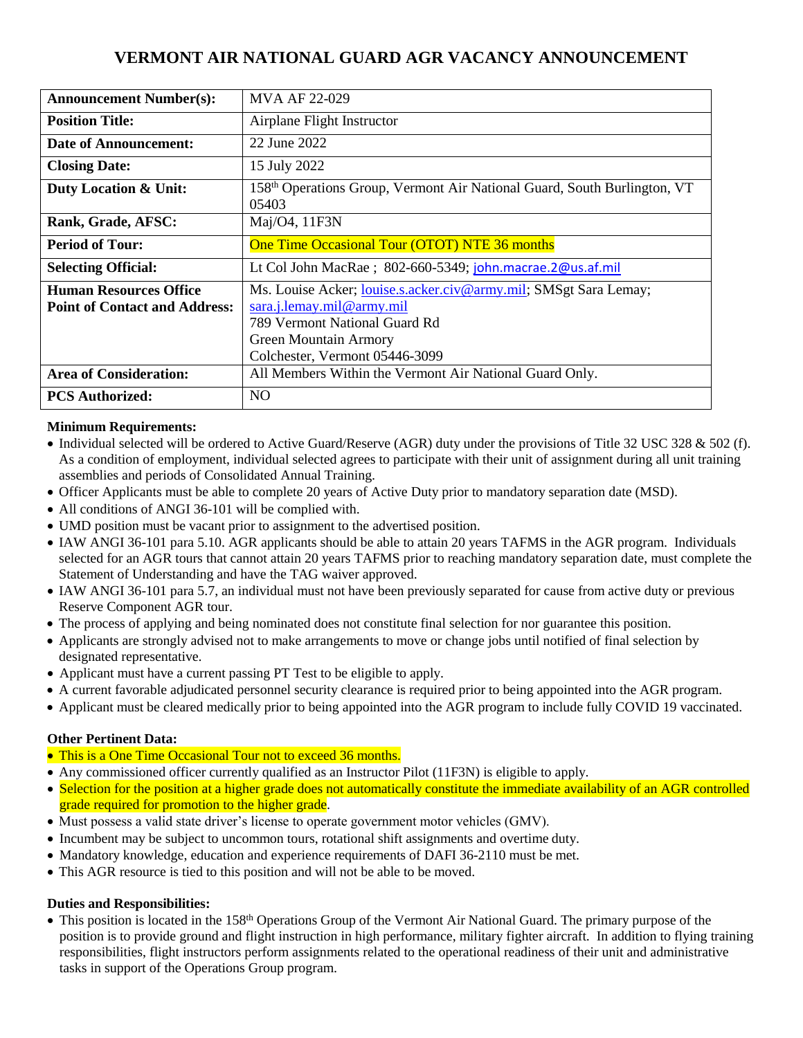# **VERMONT AIR NATIONAL GUARD AGR VACANCY ANNOUNCEMENT**

| <b>Announcement Number(s):</b>       | MVA AF 22-029                                                                     |
|--------------------------------------|-----------------------------------------------------------------------------------|
| <b>Position Title:</b>               | Airplane Flight Instructor                                                        |
| <b>Date of Announcement:</b>         | 22 June 2022                                                                      |
| <b>Closing Date:</b>                 | 15 July 2022                                                                      |
| Duty Location & Unit:                | 158th Operations Group, Vermont Air National Guard, South Burlington, VT<br>05403 |
| Rank, Grade, AFSC:                   | Maj/O4, 11F3N                                                                     |
| <b>Period of Tour:</b>               | One Time Occasional Tour (OTOT) NTE 36 months                                     |
| <b>Selecting Official:</b>           | Lt Col John MacRae ; 802-660-5349; john.macrae.2@us.af.mil                        |
| <b>Human Resources Office</b>        | Ms. Louise Acker; <i>louise.s.acker.civ@army.mil;</i> SMSgt Sara Lemay;           |
| <b>Point of Contact and Address:</b> | sara.j. lemay.mil@army.mil                                                        |
|                                      | 789 Vermont National Guard Rd                                                     |
|                                      | Green Mountain Armory                                                             |
|                                      | Colchester, Vermont 05446-3099                                                    |
| <b>Area of Consideration:</b>        | All Members Within the Vermont Air National Guard Only.                           |
| <b>PCS Authorized:</b>               | N <sub>O</sub>                                                                    |

## **Minimum Requirements:**

- Individual selected will be ordered to Active Guard/Reserve (AGR) duty under the provisions of Title 32 USC 328 & 502 (f). As a condition of employment, individual selected agrees to participate with their unit of assignment during all unit training assemblies and periods of Consolidated Annual Training.
- Officer Applicants must be able to complete 20 years of Active Duty prior to mandatory separation date (MSD).
- All conditions of ANGI 36-101 will be complied with.
- UMD position must be vacant prior to assignment to the advertised position.
- IAW ANGI 36-101 para 5.10. AGR applicants should be able to attain 20 years TAFMS in the AGR program. Individuals selected for an AGR tours that cannot attain 20 years TAFMS prior to reaching mandatory separation date, must complete the Statement of Understanding and have the TAG waiver approved.
- IAW ANGI 36-101 para 5.7, an individual must not have been previously separated for cause from active duty or previous Reserve Component AGR tour.
- The process of applying and being nominated does not constitute final selection for nor guarantee this position.
- Applicants are strongly advised not to make arrangements to move or change jobs until notified of final selection by designated representative.
- Applicant must have a current passing PT Test to be eligible to apply.
- A current favorable adjudicated personnel security clearance is required prior to being appointed into the AGR program.
- Applicant must be cleared medically prior to being appointed into the AGR program to include fully COVID 19 vaccinated.

## **Other Pertinent Data:**

- This is a One Time Occasional Tour not to exceed 36 months.
- Any commissioned officer currently qualified as an Instructor Pilot (11F3N) is eligible to apply.
- Selection for the position at a higher grade does not automatically constitute the immediate availability of an AGR controlled grade required for promotion to the higher grade.
- Must possess a valid state driver's license to operate government motor vehicles (GMV).
- Incumbent may be subject to uncommon tours, rotational shift assignments and overtime duty.
- Mandatory knowledge, education and experience requirements of DAFI 36-2110 must be met.
- This AGR resource is tied to this position and will not be able to be moved.

## **Duties and Responsibilities:**

• This position is located in the 158<sup>th</sup> Operations Group of the Vermont Air National Guard. The primary purpose of the position is to provide ground and flight instruction in high performance, military fighter aircraft. In addition to flying training responsibilities, flight instructors perform assignments related to the operational readiness of their unit and administrative tasks in support of the Operations Group program.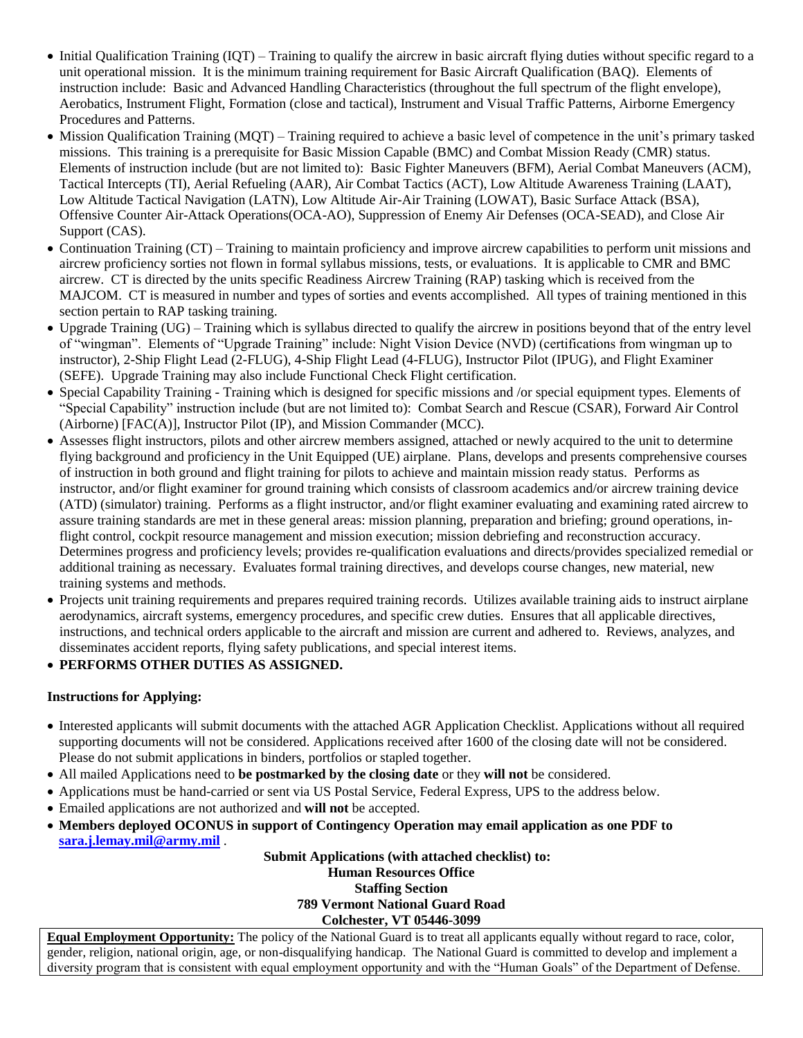- Initial Qualification Training (IQT) Training to qualify the aircrew in basic aircraft flying duties without specific regard to a unit operational mission. It is the minimum training requirement for Basic Aircraft Qualification (BAQ). Elements of instruction include: Basic and Advanced Handling Characteristics (throughout the full spectrum of the flight envelope), Aerobatics, Instrument Flight, Formation (close and tactical), Instrument and Visual Traffic Patterns, Airborne Emergency Procedures and Patterns.
- Mission Qualification Training (MQT) Training required to achieve a basic level of competence in the unit's primary tasked missions. This training is a prerequisite for Basic Mission Capable (BMC) and Combat Mission Ready (CMR) status. Elements of instruction include (but are not limited to): Basic Fighter Maneuvers (BFM), Aerial Combat Maneuvers (ACM), Tactical Intercepts (TI), Aerial Refueling (AAR), Air Combat Tactics (ACT), Low Altitude Awareness Training (LAAT), Low Altitude Tactical Navigation (LATN), Low Altitude Air-Air Training (LOWAT), Basic Surface Attack (BSA), Offensive Counter Air-Attack Operations(OCA-AO), Suppression of Enemy Air Defenses (OCA-SEAD), and Close Air Support (CAS).
- Continuation Training (CT) Training to maintain proficiency and improve aircrew capabilities to perform unit missions and aircrew proficiency sorties not flown in formal syllabus missions, tests, or evaluations. It is applicable to CMR and BMC aircrew. CT is directed by the units specific Readiness Aircrew Training (RAP) tasking which is received from the MAJCOM. CT is measured in number and types of sorties and events accomplished. All types of training mentioned in this section pertain to RAP tasking training.
- Upgrade Training (UG) Training which is syllabus directed to qualify the aircrew in positions beyond that of the entry level of "wingman". Elements of "Upgrade Training" include: Night Vision Device (NVD) (certifications from wingman up to instructor), 2-Ship Flight Lead (2-FLUG), 4-Ship Flight Lead (4-FLUG), Instructor Pilot (IPUG), and Flight Examiner (SEFE). Upgrade Training may also include Functional Check Flight certification.
- Special Capability Training Training which is designed for specific missions and /or special equipment types. Elements of "Special Capability" instruction include (but are not limited to): Combat Search and Rescue (CSAR), Forward Air Control (Airborne) [FAC(A)], Instructor Pilot (IP), and Mission Commander (MCC).
- Assesses flight instructors, pilots and other aircrew members assigned, attached or newly acquired to the unit to determine flying background and proficiency in the Unit Equipped (UE) airplane. Plans, develops and presents comprehensive courses of instruction in both ground and flight training for pilots to achieve and maintain mission ready status. Performs as instructor, and/or flight examiner for ground training which consists of classroom academics and/or aircrew training device (ATD) (simulator) training. Performs as a flight instructor, and/or flight examiner evaluating and examining rated aircrew to assure training standards are met in these general areas: mission planning, preparation and briefing; ground operations, inflight control, cockpit resource management and mission execution; mission debriefing and reconstruction accuracy. Determines progress and proficiency levels; provides re-qualification evaluations and directs/provides specialized remedial or additional training as necessary. Evaluates formal training directives, and develops course changes, new material, new training systems and methods.
- Projects unit training requirements and prepares required training records. Utilizes available training aids to instruct airplane aerodynamics, aircraft systems, emergency procedures, and specific crew duties. Ensures that all applicable directives, instructions, and technical orders applicable to the aircraft and mission are current and adhered to. Reviews, analyzes, and disseminates accident reports, flying safety publications, and special interest items.

## **PERFORMS OTHER DUTIES AS ASSIGNED.**

## **Instructions for Applying:**

- Interested applicants will submit documents with the attached AGR Application Checklist. Applications without all required supporting documents will not be considered. Applications received after 1600 of the closing date will not be considered. Please do not submit applications in binders, portfolios or stapled together.
- All mailed Applications need to **be postmarked by the closing date** or they **will not** be considered.
- Applications must be hand-carried or sent via US Postal Service, Federal Express, UPS to the address below.
- Emailed applications are not authorized and **will not** be accepted.
- **Members deployed OCONUS in support of Contingency Operation may email application as one PDF to [sara.j.lemay.mil@army.mil](mailto:sara.j.lemay.mil@army.mil)** .

**Submit Applications (with attached checklist) to: Human Resources Office Staffing Section 789 Vermont National Guard Road Colchester, VT 05446-3099**

**Equal Employment Opportunity:** The policy of the National Guard is to treat all applicants equally without regard to race, color, gender, religion, national origin, age, or non-disqualifying handicap. The National Guard is committed to develop and implement a diversity program that is consistent with equal employment opportunity and with the "Human Goals" of the Department of Defense.